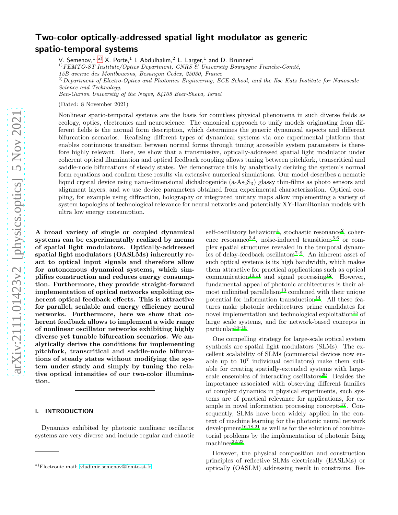# Two-color optically-addressed spatial light modulator as generic spatio-temporal systems

V. Semenov,  $^{1,\mathrm{a)}}$  $^{1,\mathrm{a)}}$  $^{1,\mathrm{a)}}$  X. Porte,  $^{1}$  I. Abdulhalim,  $^{2}$  L. Larger,  $^{1}$  and D. Brunner  $^{1}$ 

 $1) FEMTO-ST Institute/Optics Department, CNRS & University Bourgogne Franche-Comté,$ 

15B avenue des Montboucons, Besançon Cedex, 25030, France

 $^{2)}$ Department of Electro-Optics and Photonics Engineering, ECE School, and the Ilse Katz Institute for Nanoscale Science and Technology,

Ben-Gurion University of the Negev, 84105 Beer-Sheva, Israel

(Dated: 8 November 2021)

Nonlinear spatio-temporal systems are the basis for countless physical phenomena in such diverse fields as ecology, optics, electronics and neuroscience. The canonical approach to unify models originating from different fields is the normal form description, which determines the generic dynamical aspects and different bifurcation scenarios. Realizing different types of dynamical systems via one experimental platform that enables continuous transition between normal forms through tuning accessible system parameters is therefore highly relevant. Here, we show that a transmissive, optically-addressed spatial light modulator under coherent optical illumination and optical feedback coupling allows tuning between pitchfork, transcritical and saddle-node bifurcations of steady states. We demonstrate this by analytically deriving the system's normal form equations and confirm these results via extensive numerical simulations. Our model describes a nematic liquid crystal device using nano-dimensional dichalcogenide  $(a-As_2S_3)$  glassy thin-films as photo sensors and alignment layers, and we use device parameters obtained from experimental characterization. Optical coupling, for example using diffraction, holography or integrated unitary maps allow implementing a variety of system topologies of technological relevance for neural networks and potentially XY-Hamiltonian models with ultra low energy consumption.

A broad variety of single or coupled dynamical systems can be experimentally realized by means of spatial light modulators. Optically-addressed spatial light modulators (OASLMs) inherently react to optical input signals and therefore allow for autonomous dynamical systems, which simplifies construction and reduces energy consumption. Furthermore, they provide straight-forward implementation of optical networks exploiting coherent optical feedback effects. This is attractive for parallel, scalable and energy efficiency neural networks. Furthermore, here we show that coherent feedback allows to implement a wide range of nonlinear oscillator networks exhibiting highly diverse yet tunable bifurcation scenarios. We analytically derive the conditions for implementing pitchfork, transcritical and saddle-node bifurcations of steady states without modifying the system under study and simply by tuning the relative optical intensities of our two-color illumination.

#### I. INTRODUCTION

Dynamics exhibited by photonic nonlinear oscillator systems are very diverse and include regular and chaotic

self-oscillatory behaviour<sup>[1](#page-6-0)</sup>, stochastic resonance<sup>[2](#page-6-1)</sup>, coher-ence resonance<sup>[3](#page-6-2)[,4](#page-6-3)</sup>, noise-induced transitions<sup>[5](#page-6-4)[,6](#page-6-5)</sup> or complex spatial structures revealed in the temporal dynamics of delay-feedback oscillators[7](#page-6-6)[–9](#page-6-7). An inherent asset of such optical systems is its high bandwidth, which makes them attractive for practical applications such as optical communication<sup>[10](#page-6-8)[,11](#page-6-9)</sup> and signal processing<sup>[12](#page-6-10)</sup>. However, fundamental appeal of photonic architectures is their almost unlimited parallelism $13$  combined with their unique potential for information transduction<sup>[14](#page-6-12)</sup>. All these features make photonic architectures prime candidates for novel implementation and technological exploitation<sup>[15](#page-6-13)</sup> of large scale systems, and for network-based concepts in  $particular<sup>16-19</sup>$  $particular<sup>16-19</sup>$  $particular<sup>16-19</sup>$ .

One compelling strategy for large-scale optical system synthesis are spatial light modulators (SLMs). The excellent scalability of SLMs (commercial devices now enable up to  $10^7$  individual oscillators) make them suitable for creating spatially-extended systems with large-scale ensembles of interacting oscillators<sup>[20](#page-6-16)</sup>. Besides the importance associated with observing different families of complex dynamics in physical experiments, such systems are of practical relevance for applications, for example in novel information processing concepts $^{17}$  $^{17}$  $^{17}$ . Consequently, SLMs have been widely applied in the context of machine learning for the photonic neural network  $development<sup>16,18,21</sup>$  $development<sup>16,18,21</sup>$  $development<sup>16,18,21</sup>$  $development<sup>16,18,21</sup>$  $development<sup>16,18,21</sup>$  as well as for the solution of combinatorial problems by the implementation of photonic Ising  $machines<sup>22,23</sup>$  $machines<sup>22,23</sup>$  $machines<sup>22,23</sup>$  $machines<sup>22,23</sup>$ .

However, the physical composition and construction principles of reflective SLMs electrically (EASLMs) or optically (OASLM) addressing result in constrains. Re-

<span id="page-0-0"></span>a)Electronic mail: [vladimir.semenov@femto-st.fr](mailto:vladimir.semenov@femto-st.fr)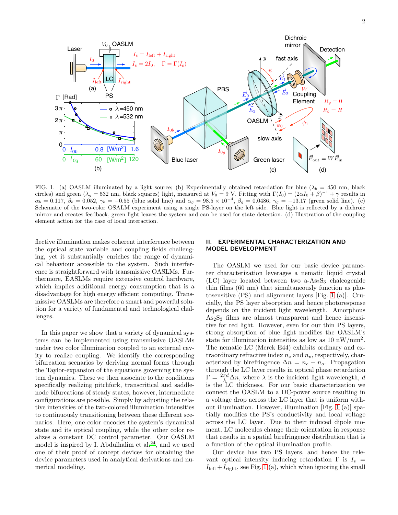

<span id="page-1-0"></span>FIG. 1. (a) OASLM illuminated by a light source; (b) Experimentally obtained retardation for blue ( $\lambda_b = 450$  nm, black circles) and green  $(\lambda_g = 532 \text{ nm}, \text{black squares})$  light, measured at  $V_0 = 9 \text{ V}$ . Fitting with  $\Gamma(I_0) = (2\alpha I_0 + \beta)^{-1} + \gamma$  results in  $\alpha_b = 0.117, \ \beta_b = 0.052, \ \gamma_b = -0.55$  (blue solid line) and  $\alpha_g = 98.5 \times 10^{-4}, \ \beta_g = 0.0486, \ \gamma_g = -13.17$  (green solid line). (c) Schematic of the two-color OSALM experiment using a single PS-layer on the left side. Blue light is reflected by a dichroic mirror and creates feedback, green light leaves the system and can be used for state detection. (d) Illustration of the coupling element action for the case of local interaction.

flective illumination makes coherent interference between the optical state variable and coupling fields challenging, yet it substantially enriches the range of dynamical behaviour accessible to the system. Such interference is straightforward with transmissive OASLMs. Furthermore, EASLMs require extensive control hardware, which implies additional energy consumption that is a disadvantage for high energy efficient computing. Transmissive OASLMs are therefore a smart and powerful solution for a variety of fundamental and technological challenges.

In this paper we show that a variety of dynamical systems can be implemented using transmissive OASLMs under two color illumination coupled to an external cavity to realize coupling. We identify the corresponding bifurcation scenarios by deriving normal forms through the Taylor-expansion of the equations governing the system dynamics. These we then associate to the conditions specifically realizing pitchfork, transcritical and saddlenode bifurcations of steady states, however, intermediate configurations are possible. Simply by adjusting the relative intensities of the two-colored illumination intensities to continuously transitioning between these different scenarios. Here, one color encodes the system's dynamical state and its optical coupling, while the other color realizes a constant DC control parameter. Our OASLM model is inspired by I. Abdulhalim et al. $^{24}$  $^{24}$  $^{24}$ , and we used one of their proof of concept devices for obtaining the device parameters used in analytical derivations and numerical modeling.

# EXPERIMENTAL CHARACTERIZATION AND MODEL DEVELOPMENT

The OASLM we used for our basic device parameter characterization leverages a nematic liquid crystal  $(LC)$  layer located between two a-As<sub>2</sub>S<sub>3</sub> chalcogenide thin films (60 nm) that simultaneously function as photosensitive (PS) and alignment layers [Fig. [1](#page-1-0) (a)]. Crucially, the PS layer absorption and hence photoresponse depends on the incident light wavelength. Amorphous  $As<sub>2</sub>S<sub>3</sub>$  films are almost transparent and hence insensitive for red light. However, even for our thin PS layers, strong absorption of blue light modifies the OASLM's state for illumination intensities as low as  $10 \text{ nW/mm}^2$ . The nematic LC (Merck E44) exhibits ordinary and extraordinary refractive index  $n_e$  and  $n_e$ , respectively, characterized by birefringence  $\Delta n = n_e - n_o$ . Propagation through the LC layer results in optical phase retardation  $\Gamma = \frac{2\pi d}{\lambda} \Delta n$ , where  $\lambda$  is the incident light wavelength, d is the LC thickness. For our basic characterization we connect the OASLM to a DC-power source resulting in a voltage drop across the LC layer that is uniform without illumination. However, illumination [Fig. [1](#page-1-0) (a)] spatially modifies the PS's conductivity and local voltage across the LC layer. Due to their induced dipole moment, LC molecules change their orientation in response that results in a spatial birefringence distribution that is a function of the optical illumination profile.

Our device has two PS layers, and hence the relevant optical intensity inducing retardation  $\Gamma$  is  $I_s =$  $I_{\text{left}}+I_{\text{right}}$ , see Fig. [1](#page-1-0) (a), which when ignoring the small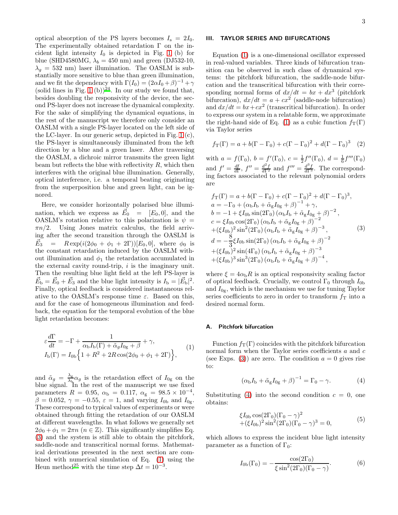optical absorption of the PS layers becomes  $I_s = 2I_0$ . The experimentally obtained retardation Γ on the incident light intensity  $I_0$  is depicted in Fig. [1](#page-1-0) (b) for blue (SHD4580MG,  $\lambda_b = 450$  nm) and green (DJ532-10,  $\lambda_q = 532$  nm) laser illumination. The OASLM is substantially more sensitive to blue than green illumination, and we fit the dependency with  $\Gamma(I_0) = (2\alpha I_0 + \beta)^{-1} + \gamma$ (solid lines in Fig. [1](#page-1-0) (b))<sup>[24](#page-6-22)</sup>. In our study we found that, besides doubling the responsivity of the device, the second PS-layer does not increase the dynamical complexity. For the sake of simplifying the dynamical equations, in the rest of the manuscript we therefore only consider an OASLM with a single PS-layer located on the left side of the LC-layer. In our generic setup, depicted in Fig. [1](#page-1-0) (c), the PS-layer is simultaneously illuminated from the left direction by a blue and a green laser. After traversing the OASLM, a dichroic mirror transmits the green light beam but reflects the blue with reflectivity  $R$ , which then interferes with the original blue illumination. Generally, optical interference, i.e. a temporal beating originating from the superposition blue and green light, can be ignored.

Here, we consider horizontally polarised blue illumination, which we express as  $\vec{E}_0 = [E_0, 0]$ , and the OASLM's rotation relative to this polarization is  $\psi =$  $\pi n/2$ . Using Jones matrix calculus, the field arriving after the second transition through the OASLM is  $\vec{E}_3 = R \exp(i(2\phi_0 + \phi_1 + 2\Gamma))[E_0, 0],$  where  $\phi_0$  is the constant retardation induced by the OASLM without illumination and  $\phi_1$  the retardation accumulated in the external cavity round-trip,  $i$  is the imaginary unit. Then the resulting blue light field at the left PS-layer is  $\vec{E}_{\rm b} = \vec{E}_0 + \vec{E}_3$  and the blue light intensity is  $I_{\rm b} = |\vec{E}_{\rm b}|^2$ . Finally, optical feedback is considered instantaneous relative to the OASLM's response time  $\varepsilon$ . Based on this, and for the case of homogeneous illumination and feedback, the equation for the temporal evolution of the blue light retardation becomes:

<span id="page-2-1"></span>
$$
\varepsilon \frac{d\Gamma}{dt} = -\Gamma + \frac{1}{\alpha_{\text{b}} I_{\text{b}}(\Gamma) + \tilde{\alpha}_g I_{0g} + \beta} + \gamma,
$$
  
\n
$$
I_{\text{b}}(\Gamma) = I_{0b} \left\{ 1 + R^2 + 2R \cos(2\phi_0 + \phi_1 + 2\Gamma) \right\},
$$
\n(1)

and  $\tilde{\alpha}_g = \frac{\lambda_g}{\lambda_g}$  $\frac{\lambda_{\rm g}}{\lambda_{\rm b}}$  as the retardation effect of  $I_{0\rm g}$  on the blue signal. In the rest of the manuscript we use fixed parameters  $R = 0.95$ ,  $\alpha_{\rm b} = 0.117$ ,  $\alpha_{\rm g} = 98.5 \times 10^{-4}$ ,  $\beta = 0.052$ ,  $\gamma = -0.55$ ,  $\varepsilon = 1$ , and varying  $I_{0<sub>b</sub>}$  and  $I_{0<sub>g</sub>}$ . These correspond to typical values of experiments or were obtained through fitting the retardation of our OASLM at different wavelengths. In what follows we generally set  $2\phi_0 + \phi_1 = 2\pi n \ (n \in \mathbb{Z})$ . This significantly simplifies Eq. [\(3\)](#page-2-0) and the system is still able to obtain the pitchfork, saddle-node and transcritical normal forms. Mathematical derivations presented in the next section are combined with numerical simulation of Eq. [\(1\)](#page-2-1) using the Heun method<sup>[25](#page-6-23)</sup> with the time step  $\Delta t = 10^{-3}$ .

# III. TAYLOR SERIES AND BIFURCATIONS

Equation [\(1\)](#page-2-1) is a one-dimensional oscillator expressed in real-valued variables. Three kinds of bifurcation transition can be observed in such class of dynamical systems: the pitchfork bifurcation, the saddle-node bifurcation and the transcritical bifurcation with their corresponding normal forms of  $dx/dt = bx + dx^3$  (pitchfork bifurcation),  $dx/dt = a + cx^2$  (saddle-node bifurcation) and  $dx/dt = bx + cx^2$  (transcritical bifurcation). In order to express our system in a relatable form, we approximate the right-hand side of Eq. [\(1\)](#page-2-1) as a cubic function  $f_T(\Gamma)$ via Taylor series

$$
f_{\rm T}(\Gamma) = a + b(\Gamma - \Gamma_0) + c(\Gamma - \Gamma_0)^2 + d(\Gamma - \Gamma_0)^3
$$
 (2)

with  $a = f(\Gamma_0)$ ,  $b = f'(\Gamma_0)$ ,  $c = \frac{1}{2}f''(\Gamma_0)$ ,  $d = \frac{1}{6}f'''(\Gamma_0)$ and  $f' = \frac{df}{d\Gamma}$ ,  $f'' = \frac{d^2f}{d\Gamma^2}$  and  $f''' = \frac{d^3f}{d\Gamma^3}$ . The corresponding factors associated to the relevant polynomial orders are

<span id="page-2-0"></span>
$$
f_{\rm T}(\Gamma) = a + b(\Gamma - \Gamma_0) + c(\Gamma - \Gamma_0)^2 + d(\Gamma - \Gamma_0)^3,
$$
  
\n
$$
a = -\Gamma_0 + (\alpha_{\rm b}I_{\rm b} + \tilde{\alpha}_{\rm g}I_{0{\rm g}} + \beta)^{-1} + \gamma,
$$
  
\n
$$
b = -1 + \xi I_{0{\rm b}}\sin(2\Gamma_0) (\alpha_{\rm b}I_{\rm b} + \tilde{\alpha}_{\rm g}I_{0{\rm g}} + \beta)^{-2},
$$
  
\n
$$
c = \xi I_{0{\rm b}}\cos(2\Gamma_0) (\alpha_{\rm b}I_{\rm b} + \tilde{\alpha}_{\rm g}I_{0{\rm g}} + \beta)^{-2}
$$
  
\n
$$
+(\xi I_{0{\rm b}})^2\sin^2(2\Gamma_0) (\alpha_{\rm b}I_{\rm b} + \tilde{\alpha}_{\rm g}I_{0{\rm g}} + \beta)^{-3},
$$
  
\n
$$
d = -\frac{8}{3}\xi I_{0{\rm b}}\sin(2\Gamma_0) (\alpha_{\rm b}I_{\rm b} + \tilde{\alpha}_{\rm g}I_{0{\rm g}} + \beta)^{-2}
$$
  
\n
$$
+(\xi I_{0{\rm b}})^2\sin(4\Gamma_0) (\alpha_{\rm b}I_{\rm b} + \tilde{\alpha}_{\rm g}I_{0{\rm g}} + \beta)^{-3}
$$
  
\n
$$
+(\xi I_{0{\rm b}})^3\sin^3(2\Gamma_0) (\alpha_{\rm b}I_{\rm b} + \tilde{\alpha}_{\rm g}I_{0{\rm g}} + \beta)^{-4},
$$

where  $\xi = 4\alpha_{\rm b}R$  is an optical responsivity scaling factor of optical feedback. Crucially, we control  $\Gamma_0$  through  $I_{0<sub>b</sub>}$ and  $I_{0g}$ , which is the mechanism we use for tuning Taylor series coefficients to zero in order to transform  $f<sub>T</sub>$  into a desired normal form.

# A. Pitchfork bifurcation

Function  $f_T(\Gamma)$  coincides with the pitchfork bifurcation normal form when the Taylor series coefficients a and c (see Exps. [\(3\)](#page-2-0)) are zero. The condition  $a = 0$  gives rise to:

<span id="page-2-2"></span>
$$
(\alpha_{\rm b}I_{\rm b} + \tilde{\alpha}_{\rm g}I_{0{\rm g}} + \beta)^{-1} = \Gamma_0 - \gamma.
$$
 (4)

Substituting [\(4\)](#page-2-2) into the second condition  $c = 0$ , one obtains:

$$
\xi I_{0b} \cos(2\Gamma_0)(\Gamma_0 - \gamma)^2 + (\xi I_{0b})^2 \sin^2(2\Gamma_0)(\Gamma_0 - \gamma)^3 = 0,
$$
\n(5)

which allows to express the incident blue light intensity parameter as a function of  $\Gamma_0$ :

<span id="page-2-3"></span>
$$
I_{0b}(\Gamma_0) = -\frac{\cos(2\Gamma_0)}{\xi \sin^2(2\Gamma_0)(\Gamma_0 - \gamma)}.
$$
 (6)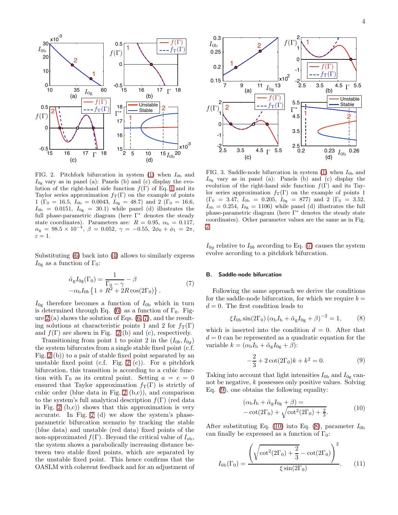

<span id="page-3-0"></span>FIG. 2. Pitchfork bifurcation in system [\(1\)](#page-2-1) when  $I_{0<sub>b</sub>}$  and  $I_{0g}$  vary as in panel (a): Panels (b) and (c) display the evolution of the right-hand side function  $f(\Gamma)$  of Eq. [1](#page-2-1) and its Taylor series approximation  $f_T(\Gamma)$  on the example of points 1 (Γ<sub>0</sub> = 16.5,  $I_{0<sub>b</sub>}$  = 0.0043,  $I_{0<sub>g</sub>}$  = 48.7) and 2 (Γ<sub>0</sub> = 16.6,  $I_{0b} = 0.0151$ ,  $I_{0g} = 30.1$ ) while panel (d) illustrates the full phase-parametric diagram (here Γ<sup>∗</sup> denotes the steady state coordinates). Parameters are:  $R = 0.95$ ,  $\alpha_{\rm b} = 0.117$ ,  $\alpha_{\rm g} = 98.5 \times 10^{-4}, \ \beta = 0.052, \ \gamma = -0.55, \ 2 \phi_0 + \phi_1 = 2 \pi,$  $\varepsilon = 1.$ 

Substituting [\(6\)](#page-2-3) back into [\(4\)](#page-2-2) allows to similarly express  $I_{0g}$  as a function of  $\Gamma_0$ :

<span id="page-3-1"></span>
$$
\tilde{\alpha}_g I_{0g}(\Gamma_0) = \frac{1}{\Gamma_0 - \gamma} - \beta
$$
\n
$$
-\alpha_b I_{0b} \left\{ 1 + R^2 + 2R \cos(2\Gamma_0) \right\}.
$$
\n(7)

 $I_{0g}$  therefore becomes a function of  $I_{0b}$  which in turn is determined through Eq. [\(6\)](#page-2-3) as a function of  $\Gamma_0$ . Fig-ure [2](#page-3-0) (a) shows the solution of Eqs.  $(6, 7)$  $(6, 7)$ , and the resulting solutions at characteristic points 1 and 2 for  $f_T(\Gamma)$ and  $f(\Gamma)$  are shown in Fig. [2](#page-3-0) (b) and (c), respectively.

Transitioning from point 1 to point 2 in the  $(I_{0b}, I_{0q})$ the system bifurcates from a single stable fixed point (c.f. Fig. [2](#page-3-0) (b)) to a pair of stable fixed point separated by an unstable fixed point (c.f. Fig.  $2$  (c)). For a pitchfork bifurcation, this transition is according to a cubic function with  $\Gamma_0$  as its central point. Setting  $a = c = 0$ ensured that Taylor approximation  $f_T(\Gamma)$  is strictly of cubic order (blue data in Fig. [2](#page-3-0) (b,c)), and comparison to the system's full analytical description  $f(\Gamma)$  (red data in Fig.  $2$  (b,c)) shows that this approximation is very accurate. In Fig. [2](#page-3-0) (d) we show the system's phaseparametric bifurcation scenario by tracking the stable (blue data) and unstable (red data) fixed points of the non-approximated  $f(\Gamma)$ . Beyond the critical value of  $I_{\text{ob}}$ , the system shows a parabolically increasing distance between two stable fixed points, which are separated by the unstable fixed point. This hence confirms that the OASLM with coherent feedback and for an adjustment of



<span id="page-3-6"></span>FIG. 3. Saddle-node bifurcation in system [\(1\)](#page-2-1) when  $I_{0<sub>b</sub>}$  and  $I_{0g}$  vary as in panel (a): Panels (b) and (c) display the evolution of the right-hand side function  $f(\Gamma)$  and its Taylor series approximation  $f_T(\Gamma)$  on the example of points 1  $(\Gamma_0 = 3.47, I_{0b} = 0.205, I_{0g} = 877)$  and 2  $(\Gamma_0 = 3.52,$  $I_{0b} = 0.254, I_{0g} = 1106$ ) while panel (d) illustrates the full phase-parametric diagram (here Γ<sup>∗</sup> denotes the steady state coordinates). Other parameter values are the same as in Fig. [2.](#page-3-0)

 $I_{0g}$  relative to  $I_{0b}$  according to Eq. [\(7\)](#page-3-1) causes the system evolve according to a pitchfork bifurcation.

#### B. Saddle-node bifurcation

Following the same approach we derive the conditions for the saddle-node bifurcation, for which we require  $b =$  $d = 0$ . The first condition leads to

<span id="page-3-4"></span>
$$
\xi I_{0b} \sin(2\Gamma_0) (\alpha_b I_b + \tilde{\alpha}_g I_{0g} + \beta)^{-2} = 1, \quad (8)
$$

which is inserted into the condition  $d = 0$ . After that  $d = 0$  can be represented as a quadratic equation for the variable  $k = (\alpha_{\rm b} I_{\rm b} + \tilde{\alpha}_{\rm g} I_{0{\rm g}} + \beta)$ :

<span id="page-3-2"></span>
$$
-\frac{2}{3} + 2\cot(2\Gamma_0)k + k^2 = 0.
$$
 (9)

Taking into account that light intensities  $I_{0<sub>b</sub>}$  and  $I_{0<sub>g</sub>}$  cannot be negative, k possesses only positive values. Solving Eq. [\(9\)](#page-3-2), one obtains the following equality:

<span id="page-3-3"></span>
$$
(\alpha_{\rm b}I_{\rm b} + \tilde{\alpha}_{\rm g}I_{0\rm g} + \beta) =
$$
  
-\cot(2\Gamma\_0) + \sqrt{\cot^2(2\Gamma\_0) + \frac{2}{3}}. (10)

After substituting Eq. [\(10\)](#page-3-3) into Eq. [\(8\)](#page-3-4), parameter  $I_{0<sub>b</sub>}$ can finally be expressed as a function of  $\Gamma_0$ :

<span id="page-3-5"></span>
$$
I_{0b}(\Gamma_0) = \frac{\left(\sqrt{\cot^2(2\Gamma_0) + \frac{2}{3}} - \cot(2\Gamma_0)\right)^2}{\xi \sin(2\Gamma_0)}.
$$
 (11)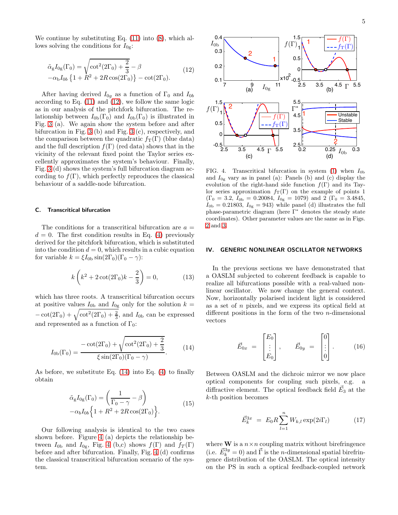We continue by substituting Eq.  $(11)$  into  $(8)$ , which allows solving the conditions for  $I_{0g}$ :

<span id="page-4-0"></span>
$$
\tilde{\alpha}_{g}I_{0g}(\Gamma_{0}) = \sqrt{\cot^{2}(2\Gamma_{0}) + \frac{2}{3}} - \beta
$$
\n
$$
-\alpha_{b}I_{0b} \{1 + R^{2} + 2R\cos(2\Gamma_{0})\} - \cot(2\Gamma_{0}).
$$
\n(12)

After having derived  $I_{0g}$  as a function of  $\Gamma_0$  and  $I_{0b}$ according to Eq. [\(11\)](#page-3-5) and [\(12\)](#page-4-0), we follow the same logic as in our analysis of the pitchfork bifurcation. The relationship between  $I_{0b}(\Gamma_0)$  and  $I_{0b}(\Gamma_0)$  is illustrated in Fig. [3](#page-3-6) (a). We again show the system before and after bifurcation in Fig. [3](#page-3-6) (b) and Fig. [3](#page-3-6) (c), respectively, and the comparison between the quadratic  $f_T(\Gamma)$  (blue data) and the full description  $f(\Gamma)$  (red data) shows that in the vicinity of the relevant fixed point the Taylor series excellently approximates the system's behaviour. Finally, Fig. [3](#page-3-6) (d) shows the system's full bifurcation diagram according to  $f(\Gamma)$ , which perfectly reproduces the classical behaviour of a saddle-node bifurcation.

# C. Transcritical bifurcation

The conditions for a transcritical bifurcation are  $a =$  $d = 0$ . The first condition results in Eq. [\(4\)](#page-2-2) previously derived for the pitchfork bifurcation, which is substituted into the condition  $d = 0$ , which results in a cubic equation for variable  $k = \xi I_{0b} \sin(2\Gamma_0)(\Gamma_0 - \gamma)$ :

$$
k\left(k^2 + 2\cot(2\Gamma_0)k - \frac{2}{3}\right) = 0,\t(13)
$$

which has three roots. A transcritical bifurcation occurs at positive values  $I_{0b}$  and  $I_{0g}$  only for the solution  $k =$  $-\cot(2\Gamma_0)+\sqrt{\cot^2(2\Gamma_0)+\frac{2}{3}}$ , and  $I_{0b}$  can be expressed and represented as a function of  $\Gamma_0$ :

<span id="page-4-1"></span>
$$
I_{0b}(\Gamma_0) = \frac{-\cot(2\Gamma_0) + \sqrt{\cot^2(2\Gamma_0) + \frac{2}{3}}}{\xi \sin(2\Gamma_0)(\Gamma_0 - \gamma)}.
$$
 (14)

As before, we substitute Eq. [\(14\)](#page-4-1) into Eq. [\(4\)](#page-2-2) to finally obtain

$$
\tilde{\alpha}_{g}I_{0g}(\Gamma_{0}) = \left(\frac{1}{\Gamma_{0} - \gamma} - \beta\right)
$$
\n
$$
-\alpha_{b}I_{0b}\left\{1 + R^{2} + 2R\cos(2\Gamma_{0})\right\}.
$$
\n(15)

Our following analysis is identical to the two cases shown before. Figure [4](#page-4-2) (a) depicts the relationship between  $I_{0b}$  and  $I_{0g}$ , Fig. [4](#page-4-2) (b,c) shows  $f(\Gamma)$  and  $f_T(\Gamma)$ before and after bifurcation. Finally, Fig. [4](#page-4-2) (d) confirms the classical transcritical bifurcation scenario of the system.



<span id="page-4-2"></span>FIG. 4. Transcritical bifurcation in system [\(1\)](#page-2-1) when  $I_{0<sub>b</sub>}$ and  $I_{0g}$  vary as in panel (a): Panels (b) and (c) display the evolution of the right-hand side function  $f(\Gamma)$  and its Taylor series approximation  $f_T(\Gamma)$  on the example of points 1  $(\Gamma_0 = 3.2, I_{0b} = 0.20084, I_{0g} = 1079)$  and 2  $(\Gamma_0 = 3.4845,$  $I_{0b} = 0.21803, I_{0g} = 943$ ) while panel (d) illustrates the full phase-parametric diagram (here Γ<sup>∗</sup> denotes the steady state coordinates). Other parameter values are the same as in Figs. [2](#page-3-0) and [3.](#page-3-6)

# IV. GENERIC NONLINEAR OSCILLATOR NETWORKS

In the previous sections we have demonstrated that a OASLM subjected to coherent feedback is capable to realize all bifurcations possible with a real-valued nonlinear oscillator. We now change the general context. Now, horizontally polarised incident light is considered as a set of n pixels, and we express its optical field at different positions in the form of the two  $n$ -dimensional vectors

$$
\vec{E}_{0x} = \begin{bmatrix} E_0 \\ \vdots \\ E_0 \end{bmatrix}, \qquad \vec{E}_{0y} = \begin{bmatrix} 0 \\ \vdots \\ 0 \end{bmatrix}. \qquad (16)
$$

Between OASLM and the dichroic mirror we now place optical components for coupling such pixels, e.g. a diffractive element. The optical feedback field  $\vec{E}_3$  at the k-th position becomes

$$
\vec{E}_k^{3x} = E_0 R \sum_{l=1}^n W_{k,l} \exp(2i\Gamma_l)
$$
 (17)

where **W** is a  $n \times n$  coupling matrix without birefringence (i.e.  $\vec{E}_k^{3y} = 0$ ) and  $\vec{\Gamma}$  is the *n*-dimensional spatial birefringence distribution of the OASLM. The optical intensity on the PS in such a optical feedback-coupled network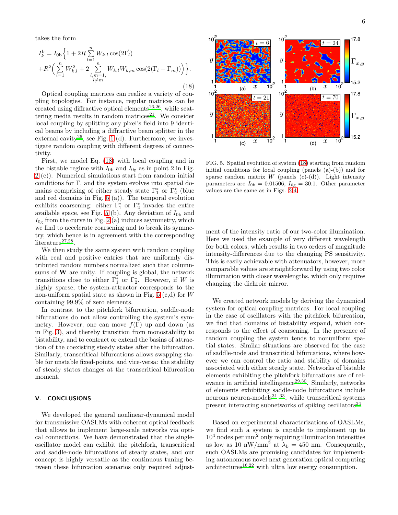takes the form

<span id="page-5-0"></span>
$$
I_k^{\text{b}} = I_{0\text{b}} \Big\{ 1 + 2R \sum_{l=1}^n W_{k,l} \cos(2\vec{\Gamma_l}) + R^2 \Big( \sum_{l=1}^n W_{k,l}^2 + 2 \sum_{\substack{l,m=1, \\ l \neq m}}^n W_{k,l} W_{k,m} \cos(2(\Gamma_l - \Gamma_m)) \Big) \Big\}.
$$
\n(18)

Optical coupling matrices can realize a variety of coupling topologies. For instance, regular matrices can be created using diffractive optical elements<sup>[16](#page-6-14)[,26](#page-6-24)</sup>, while scat-tering media results in random matrices<sup>[21](#page-6-19)</sup>. We consider local coupling by splitting any pixel's field into 9 identical beams by including a diffractive beam splitter in the external cavity<sup>[26](#page-6-24)</sup>, see Fig. [1](#page-1-0) (d). Furthermore, we investigate random coupling with different degrees of connectivity.

First, we model Eq. [\(18\)](#page-5-0) with local coupling and in the bistable regime with  $I_{0b}$  and  $I_{0g}$  as in point 2 in Fig. [2](#page-3-0) (c)). Numerical simulations start from random initial conditions for Γ, and the system evolves into spatial domains comprising of either steady state  $\Gamma_1^*$  or  $\Gamma_2^*$  (blue and red domains in Fig. [5](#page-5-1) (a)). The temporal evolution exhibits coarsening: either  $\Gamma_1^*$  or  $\Gamma_2^*$  invades the entire available space, see Fig. [5](#page-5-1) (b). Any deviation of  $I_{0<sub>b</sub>}$  and  $I_{0g}$  from the curve in Fig. [2](#page-3-0) (a) induces asymmetry, which we find to accelerate coarsening and to break its symmetry, which hence is in agreement with the corresponding  $literature^{27,28}.$  $literature^{27,28}.$  $literature^{27,28}.$  $literature^{27,28}.$ 

We then study the same system with random coupling with real and positive entries that are uniformly distributed random numbers normalized such that columnsums of  $W$  are unity. If coupling is global, the network transitions close to either  $\Gamma_1^*$  or  $\Gamma_2^*$ . However, if W is highly sparse, the system-attractor corresponds to the non-uniform spatial state as shown in Fig. [5](#page-5-1)  $(c,d)$  for W containing 99.9% of zero elements.

In contrast to the pitchfork bifurcation, saddle-node bifurcations do not allow controlling the system's symmetry. However, one can move  $f(\Gamma)$  up and down (as in Fig. [3\)](#page-3-6), and thereby transition from monostability to bistability, and to contract or extend the basins of attraction of the coexisting steady states after the bifurcation. Similarly, transcritical bifurcations allows swapping stable for unstable fixed-points, and vice-versa: the stability of steady states changes at the transcritical bifurcation moment.

# V. CONCLUSIONS

We developed the general nonlinear-dynamical model for transmissive OASLMs with coherent optical feedback that allows to implement large-scale networks via optical connections. We have demonstrated that the singleoscillator model can exhibit the pitchfork, transcritical and saddle-node bifurcations of steady states, and our concept is highly versatile as the continuous tuning between these bifurcation scenarios only required adjust-



<span id="page-5-1"></span>FIG. 5. Spatial evolution of system [\(18\)](#page-5-0) starting from random initial conditions for local coupling (panels (a)-(b)) and for sparse random matrix  $W$  (panels (c)-(d)). Light intensity parameters are  $I_{0b} = 0.01506, I_{0g} = 30.1$ . Other parameter values are the same as in Figs. [2-](#page-3-0)[4.](#page-4-2)

ment of the intensity ratio of our two-color illumination. Here we used the example of very different wavelength for both colors, which results in two orders of magnitude intensity-differences due to the changing PS sensitivity. This is easily achievable with attenuators, however, more comparable values are straightforward by using two color illumination with closer wavelengths, which only requires changing the dichroic mirror.

We created network models by deriving the dynamical system for optical coupling matrices. For local coupling in the case of oscillators with the pitchfork bifurcation, we find that domains of bistability expand, which corresponds to the effect of coarsening. In the presence of random coupling the system tends to nonuniform spatial states. Similar situations are observed for the case of saddle-node and transcritical bifurcations, where however we can control the ratio and stability of domains associated with either steady state. Networks of bistable elements exhibiting the pitchfork bifurcations are of rel-evance in artificial intellingence<sup>[29](#page-6-27)[,30](#page-6-28)</sup>. Similarly, networks of elements exhibiting saddle-node bifurcations include neurons neuron-models $31-33$  $31-33$ , while transcritical systems present interacting subnetworks of spiking oscillators<sup>[34](#page-6-31)</sup>.

Based on experimental characterizations of OASLMs, we find such a system is capable to implement up to  $10<sup>4</sup>$  nodes per mm<sup>2</sup> only requiring illumination intensities as low as 10 nW/mm<sup>2</sup> at  $\lambda_b = 450$  nm. Consequently, such OASLMs are promising candidates for implementing autonomous novel next generation optical computing  $architectures<sup>16,22</sup>$  $architectures<sup>16,22</sup>$  $architectures<sup>16,22</sup>$  $architectures<sup>16,22</sup>$  with ultra low energy consumption.